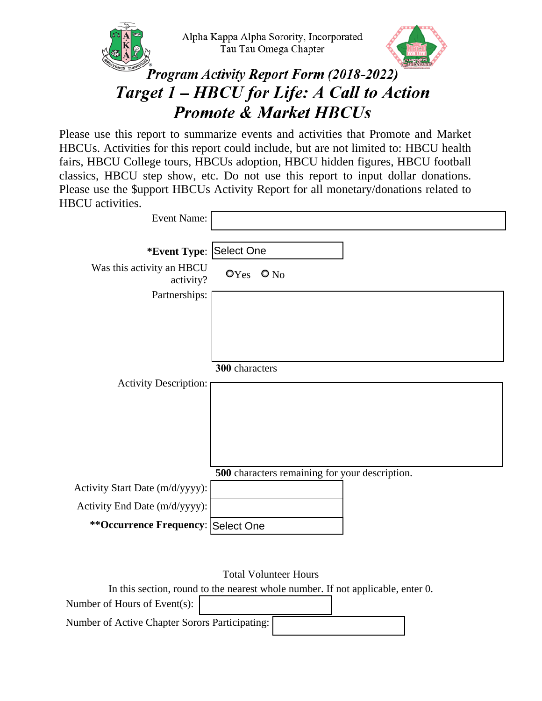



## **Program Activity Report Form (2018-2022)** Target 1 – HBCU for Life: A Call to Action **Promote & Market HBCUs**

Please use this report to summarize events and activities that Promote and Market HBCUs. Activities for this report could include, but are not limited to: HBCU health fairs, HBCU College tours, HBCUs adoption, HBCU hidden figures, HBCU football classics, HBCU step show, etc. Do not use this report to input dollar donations. Please use the \$upport HBCUs Activity Report for all monetary/donations related to HBCU activities.

| <b>Event Name:</b>                     |                                                |
|----------------------------------------|------------------------------------------------|
|                                        |                                                |
| *Event Type: Select One                |                                                |
| Was this activity an HBCU<br>activity? | $OYes$ $O No$                                  |
| Partnerships:                          |                                                |
|                                        |                                                |
|                                        |                                                |
|                                        |                                                |
|                                        |                                                |
|                                        | 300 characters                                 |
| <b>Activity Description:</b>           |                                                |
|                                        |                                                |
|                                        |                                                |
|                                        |                                                |
|                                        |                                                |
|                                        | 500 characters remaining for your description. |
| Activity Start Date (m/d/yyyy):        |                                                |
| Activity End Date (m/d/yyyy):          |                                                |
| **Occurrence Frequency: Select One     |                                                |
|                                        |                                                |

Total Volunteer Hours

In this section, round to the nearest whole number. If not applicable, enter 0.

| Number of Hours of Event(s):                   |  |  |
|------------------------------------------------|--|--|
| Number of Active Chapter Sorors Participating: |  |  |